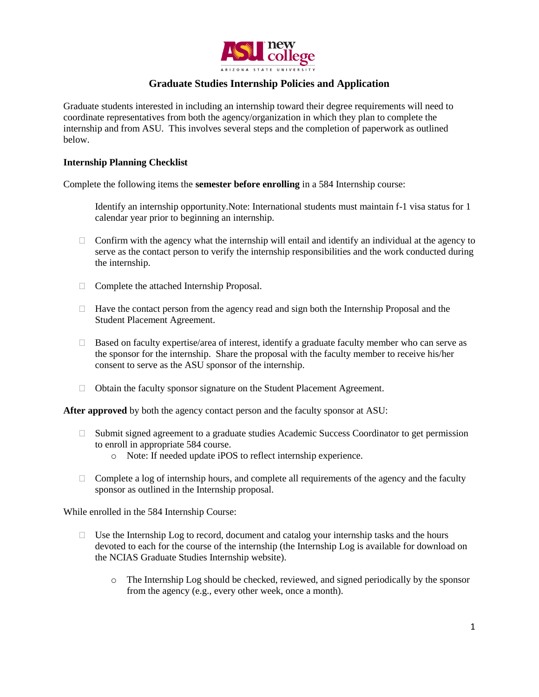

## **Graduate Studies Internship Policies and Application**

Graduate students interested in including an internship toward their degree requirements will need to coordinate representatives from both the agency/organization in which they plan to complete the internship and from ASU. This involves several steps and the completion of paperwork as outlined below.

#### **Internship Planning Checklist**

Complete the following items the **semester before enrolling** in a 584 Internship course:

- Identify an internship opportunity.Note: International students must maintain f-1 visa status for 1 calendar year prior to beginning an internship.
- $\Box$  Confirm with the agency what the internship will entail and identify an individual at the agency to serve as the contact person to verify the internship responsibilities and the work conducted during the internship.
- $\Box$  Complete the attached Internship Proposal.
- $\Box$  Have the contact person from the agency read and sign both the Internship Proposal and the Student Placement Agreement.
- $\Box$  Based on faculty expertise/area of interest, identify a graduate faculty member who can serve as the sponsor for the internship. Share the proposal with the faculty member to receive his/her consent to serve as the ASU sponsor of the internship.
- □ Obtain the faculty sponsor signature on the Student Placement Agreement.

**After approved** by both the agency contact person and the faculty sponsor at ASU:

- $\Box$  Submit signed agreement to a graduate studies Academic Success Coordinator to get permission to enroll in appropriate 584 course.
	- o Note: If needed update iPOS to reflect internship experience.
- $\Box$  Complete a log of internship hours, and complete all requirements of the agency and the faculty sponsor as outlined in the Internship proposal.

While enrolled in the 584 Internship Course:

- $\Box$  Use the Internship Log to record, document and catalog your internship tasks and the hours devoted to each for the course of the internship (the Internship Log is available for download on the NCIAS Graduate Studies Internship website).
	- o The Internship Log should be checked, reviewed, and signed periodically by the sponsor from the agency (e.g., every other week, once a month).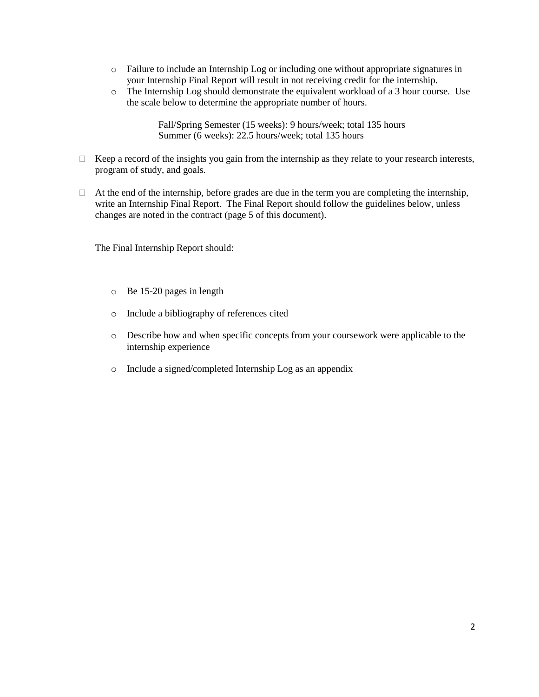- o Failure to include an Internship Log or including one without appropriate signatures in your Internship Final Report will result in not receiving credit for the internship.
- o The Internship Log should demonstrate the equivalent workload of a 3 hour course. Use the scale below to determine the appropriate number of hours.

Fall/Spring Semester (15 weeks): 9 hours/week; total 135 hours Summer (6 weeks): 22.5 hours/week; total 135 hours

- $\Box$  Keep a record of the insights you gain from the internship as they relate to your research interests, program of study, and goals.
- $\Box$  At the end of the internship, before grades are due in the term you are completing the internship, write an Internship Final Report. The Final Report should follow the guidelines below, unless changes are noted in the contract (page 5 of this document).

The Final Internship Report should:

- o Be 15-20 pages in length
- o Include a bibliography of references cited
- o Describe how and when specific concepts from your coursework were applicable to the internship experience
- o Include a signed/completed Internship Log as an appendix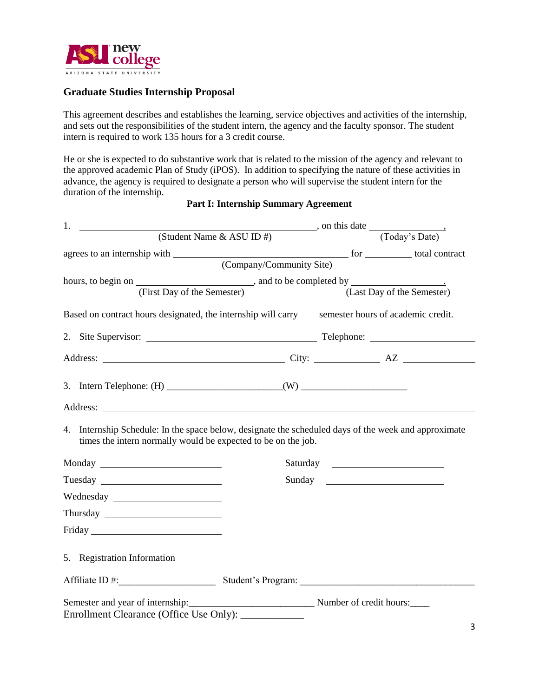

### **Graduate Studies Internship Proposal**

This agreement describes and establishes the learning, service objectives and activities of the internship, and sets out the responsibilities of the student intern, the agency and the faculty sponsor. The student intern is required to work 135 hours for a 3 credit course.

He or she is expected to do substantive work that is related to the mission of the agency and relevant to the approved academic Plan of Study (iPOS). In addition to specifying the nature of these activities in advance, the agency is required to designate a person who will supervise the student intern for the duration of the internship.

| 1.                                                                                                                                                                                                                                                                              |  |  |                            |  |  |  |
|---------------------------------------------------------------------------------------------------------------------------------------------------------------------------------------------------------------------------------------------------------------------------------|--|--|----------------------------|--|--|--|
| $\overline{\phantom{a}}$ , on this date (Student Name & ASU ID #) $\overline{\phantom{a}}$ , on this date (Today's Date)                                                                                                                                                        |  |  |                            |  |  |  |
|                                                                                                                                                                                                                                                                                 |  |  |                            |  |  |  |
|                                                                                                                                                                                                                                                                                 |  |  |                            |  |  |  |
|                                                                                                                                                                                                                                                                                 |  |  |                            |  |  |  |
| (First Day of the Semester)                                                                                                                                                                                                                                                     |  |  | (Last Day of the Semester) |  |  |  |
| Based on contract hours designated, the internship will carry ____ semester hours of academic credit.                                                                                                                                                                           |  |  |                            |  |  |  |
|                                                                                                                                                                                                                                                                                 |  |  |                            |  |  |  |
|                                                                                                                                                                                                                                                                                 |  |  |                            |  |  |  |
|                                                                                                                                                                                                                                                                                 |  |  |                            |  |  |  |
|                                                                                                                                                                                                                                                                                 |  |  |                            |  |  |  |
| 4. Internship Schedule: In the space below, designate the scheduled days of the week and approximate<br>times the intern normally would be expected to be on the job.                                                                                                           |  |  |                            |  |  |  |
|                                                                                                                                                                                                                                                                                 |  |  |                            |  |  |  |
|                                                                                                                                                                                                                                                                                 |  |  |                            |  |  |  |
|                                                                                                                                                                                                                                                                                 |  |  |                            |  |  |  |
|                                                                                                                                                                                                                                                                                 |  |  |                            |  |  |  |
|                                                                                                                                                                                                                                                                                 |  |  |                            |  |  |  |
| 5. Registration Information                                                                                                                                                                                                                                                     |  |  |                            |  |  |  |
|                                                                                                                                                                                                                                                                                 |  |  |                            |  |  |  |
|                                                                                                                                                                                                                                                                                 |  |  |                            |  |  |  |
| Enrollment Clearance (Office Use Only):<br><u>and the state of the state of the state of the state of the state of the state of the state of the state of the state of the state of the state of the state of the state of the state of the state of the state of the state</u> |  |  |                            |  |  |  |

## **Part I: Internship Summary Agreement**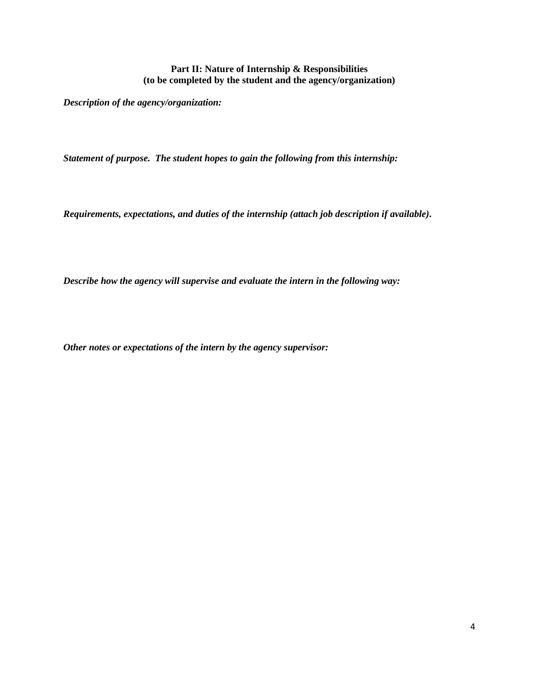### **Part II: Nature of Internship & Responsibilities (to be completed by the student and the agency/organization)**

*Description of the agency/organization:* 

*Statement of purpose. The student hopes to gain the following from this internship:*

*Requirements, expectations, and duties of the internship (attach job description if available).*

*Describe how the agency will supervise and evaluate the intern in the following way:*

*Other notes or expectations of the intern by the agency supervisor:*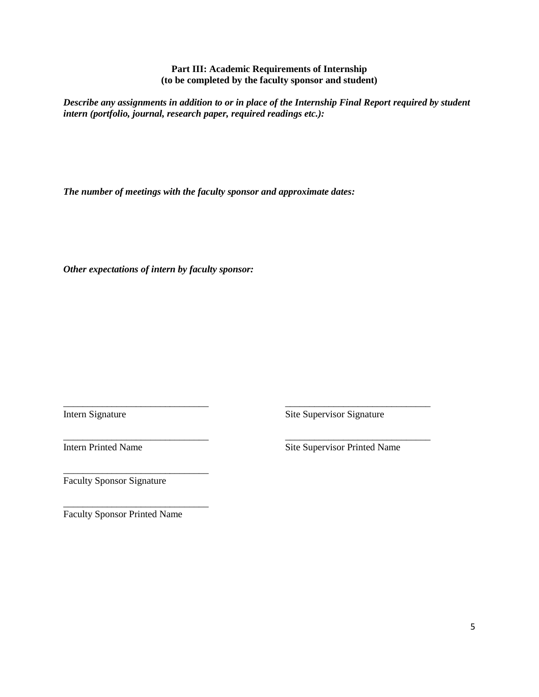**Part III: Academic Requirements of Internship (to be completed by the faculty sponsor and student)**

*Describe any assignments in addition to or in place of the Internship Final Report required by student intern (portfolio, journal, research paper, required readings etc.):*

\_\_\_\_\_\_\_\_\_\_\_\_\_\_\_\_\_\_\_\_\_\_\_\_\_\_\_\_\_\_ \_\_\_\_\_\_\_\_\_\_\_\_\_\_\_\_\_\_\_\_\_\_\_\_\_\_\_\_\_\_

\_\_\_\_\_\_\_\_\_\_\_\_\_\_\_\_\_\_\_\_\_\_\_\_\_\_\_\_\_\_ \_\_\_\_\_\_\_\_\_\_\_\_\_\_\_\_\_\_\_\_\_\_\_\_\_\_\_\_\_\_

*The number of meetings with the faculty sponsor and approximate dates:*

*Other expectations of intern by faculty sponsor:*

Intern Signature Site Supervisor Signature

Intern Printed Name Site Supervisor Printed Name

Faculty Sponsor Signature

\_\_\_\_\_\_\_\_\_\_\_\_\_\_\_\_\_\_\_\_\_\_\_\_\_\_\_\_\_\_ Faculty Sponsor Printed Name

\_\_\_\_\_\_\_\_\_\_\_\_\_\_\_\_\_\_\_\_\_\_\_\_\_\_\_\_\_\_